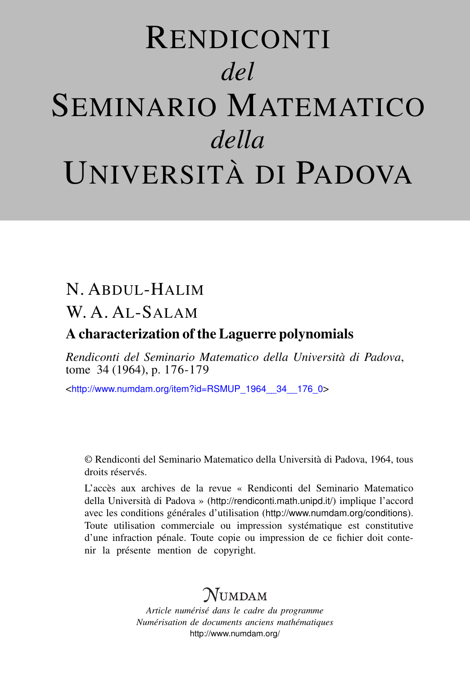# RENDICONTI *del* SEMINARIO MATEMATICO *della* UNIVERSITÀ DI PADOVA

# N. ABDUL-HALIM

## W. A. AL-SALAM

### A characterization of the Laguerre polynomials

*Rendiconti del Seminario Matematico della Università di Padova*, tome 34 (1964), p. 176-179

<[http://www.numdam.org/item?id=RSMUP\\_1964\\_\\_34\\_\\_176\\_0](http://www.numdam.org/item?id=RSMUP_1964__34__176_0)>

© Rendiconti del Seminario Matematico della Università di Padova, 1964, tous droits réservés.

L'accès aux archives de la revue « Rendiconti del Seminario Matematico della Università di Padova » (<http://rendiconti.math.unipd.it/>) implique l'accord avec les conditions générales d'utilisation (<http://www.numdam.org/conditions>). Toute utilisation commerciale ou impression systématique est constitutive d'une infraction pénale. Toute copie ou impression de ce fichier doit contenir la présente mention de copyright.

# $\mathcal{N}$ umdam

*Article numérisé dans le cadre du programme Numérisation de documents anciens mathématiques* <http://www.numdam.org/>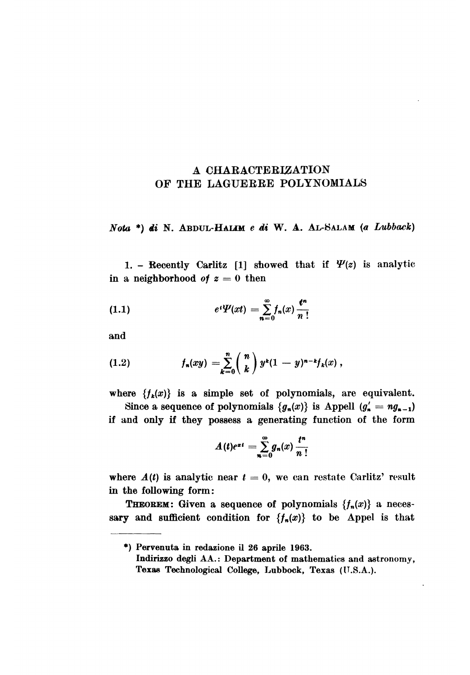#### A CHARACTERIZATION OF THE LAGUERRE POLYNOMIALS

 $Nota$ <sup>\*</sup>) di N. ABDUL-HALIM e di W. A. AL-SALAM (a Lubback)

1. - Recently Carlitz [1] showed that if  $\Psi(z)$  is analytic in a neighborhood of  $z = 0$  then

(1.1) 
$$
e^{t}\Psi(xt) = \sum_{n=0}^{\infty} f_n(x) \frac{t^n}{n!}
$$

and

~

(1.2) 
$$
f_n(xy) = \sum_{k=0}^n {n \choose k} y^k (1-y)^{n-k} f_k(x),
$$

where  $\{f_k(x)\}\$ is a simple set of polynomials, are equivalent.

Since a sequence of polynomials  $\{g_n(x)\}\$ is Appell  $(g'_n = ng_{n-1})$ if and only if they possess a generating function of the form

$$
A(t)e^{xt} = \sum_{n=0}^{\infty} g_n(x) \frac{t^n}{n!}
$$

where  $A(t)$  is analytic near  $t = 0$ , we can restate Carlitz' result in the following form:

**THEOREM:** Given a sequence of polynomials  $\{f_n(x)\}\$ a necessary and sufficient condition for  $\{f_n(x)\}\)$  to be Appel is that

<sup>\*)</sup> Pervenuta in redazione il 26 aprile 1963.

Indirizzo degli AA.: Department of mathematics and astronomy, Texas Technological College, Lubbock, Texas (U.S.A.).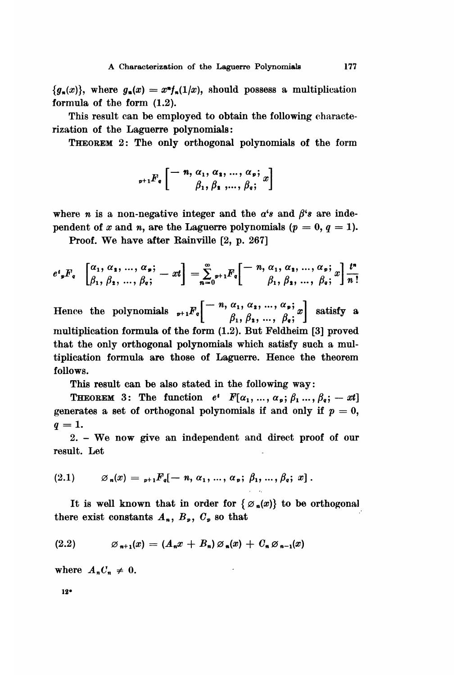$\{g_n(x)\}\$ , where  $g_n(x) = x^n f_n(1/x)$ , should possess a multiplication formula of the form (1.2).

This result can be employed to obtain the following characterization of the Laguerre polynomials:

THEOREM 2: The only orthogonal polynomials of the form

$$
{}_{p+1}F_q\left[\begin{matrix}-n,\alpha_1,\alpha_2,\ldots,\alpha_p;\cr \beta_1,\beta_2,\ldots,\beta_q;\end{matrix}x\right]
$$

where *n* is a non-negative integer and the  $a's$  and  $\beta's$  are independent of x and n, are the Laguerre polynomials  $(p = 0, q = 1)$ .

Proof. We have after Rainville [2, p. 267]

$$
e^{\iota}{}_{\mathfrak{p}}F_{\mathfrak{q}}\left[\begin{matrix}\alpha_{1},\alpha_{1},\ldots,\alpha_{p};\\ \beta_{1},\beta_{2},\ldots,\beta_{q};\end{matrix}\right]=\sum_{n=0}^{\infty}{}_{\mathfrak{p}+1}F_{\mathfrak{q}}\left[\begin{matrix}-n,\alpha_{1},\alpha_{1},\ldots,\alpha_{p};\\ \beta_{1},\beta_{2},\ldots,\beta_{q};\end{matrix}\right]\frac{t^{n}}{n!}
$$

Hence the polynomials  ${}_{p+1}F_q\left[\begin{array}{c} -n, \alpha_1, \alpha_2, ..., \alpha_p; \\ \beta_1, \beta_2, ..., \beta_q; \end{array} x\right]$  satisfy a multiplication formula of the form (1.2). But Feldheim [3] proved that the only orthogonal polynomials which satisfy such a multiplication formula are those of Laguerre. Hence the theorem follows.

This result can be also stated in the following way:

**THEOREM** 3: The function  $e^t$   $F[\alpha_1, ..., \alpha_p; \beta_1, ..., \beta_q; -xt]$ generates a set of orthogonal polynomials if and only if  $p = 0$ ,  $q=1.$ 

2. - We now give an independent and direct proof of our result. Let

$$
(2.1) \t\t \t\t \mathscr{A}_n(x) = {}_{p+1}F_q[-n, \alpha_1, ..., \alpha_p; \beta_1, ..., \beta_q; x].
$$

It is well known that in order for  $\{ \emptyset_n(x) \}$  to be orthogonal there exist constants  $A_n$ ,  $B_p$ ,  $C_p$  so that

$$
(2.2) \qquad \qquad \varnothing_{n+1}(x) = (A_n x + B_n) \varnothing_n(x) + C_n \varnothing_{n-1}(x)
$$

where  $A_n C_n \neq 0$ .

12\*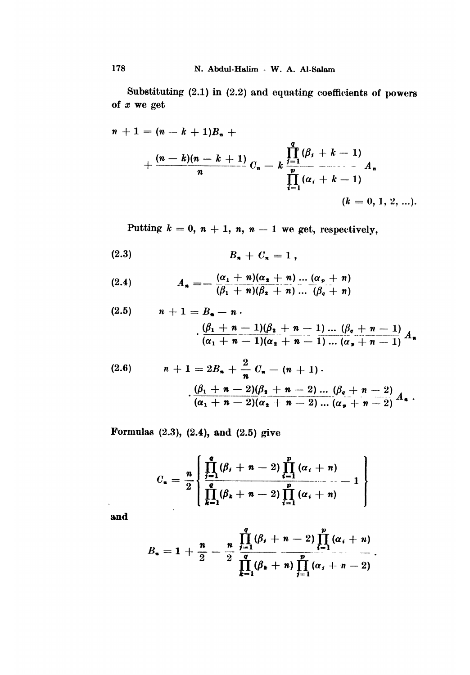Substituting  $(2.1)$  in  $(2.2)$  and equating coefficients of powers of  $x$  we get

$$
n + 1 = (n - k + 1)B_{n} + \frac{(n - k)(n - k + 1)}{n}C_{n} - k \prod_{i=1}^{q} (\beta_{i} + k - 1)
$$
  

$$
\prod_{i=1}^{p} (\alpha_{i} + k - 1)
$$
  

$$
(k = 0, 1, 2, ...).
$$

Putting  $k = 0, n + 1, n, n - 1$  we get, respectively,

$$
(2.3) \t\t\t B_n + C_n = 1,
$$

(2.4) 
$$
A_n = -\frac{(\alpha_1 + n)(\alpha_2 + n) \dots (\alpha_p + n)}{(\beta_1 + n)(\beta_2 + n) \dots (\beta_q + n)}
$$

(2.5) 
$$
n + 1 = B_n - n
$$

$$
\cdot \frac{(\beta_1 + n - 1)(\beta_2 + n - 1) \dots (\beta_q + n - 1)}{(\alpha_1 + n - 1)(\alpha_2 + n - 1) \dots (\alpha_p + n - 1)} A_n
$$

(2.6) 
$$
n + 1 = 2B_n + \frac{2}{n} C_n - (n + 1).
$$

$$
\frac{(\beta_1 + n - 2)(\beta_2 + n - 2) \dots (\beta_q + n - 2)}{(\alpha_1 + n - 2)(\alpha_2 + n - 2) \dots (\alpha_p + n - 2)} A_n.
$$

Formulas  $(2.3)$ ,  $(2.4)$ , and  $(2.5)$  give

$$
C_n = \frac{n}{2} \left\{ \frac{\prod_{j=1}^q (\beta_j + n - 2) \prod_{i=1}^p (\alpha_i + n)}{\prod_{k=1}^q (\beta_k + n - 2) \prod_{i=1}^p (\alpha_i + n)} - 1 \right\}
$$

and

 $\ddot{\phantom{0}}$ 

$$
B_n = 1 + \frac{n}{2} - \frac{n}{2} \prod_{i=1}^q (\beta_i + n - 2) \prod_{i=1}^p (\alpha_i + n) \frac{n}{2} \dots
$$

$$
\prod_{k=1}^q (\beta_k + n) \prod_{j=1}^p (\alpha_j + n - 2)
$$

178